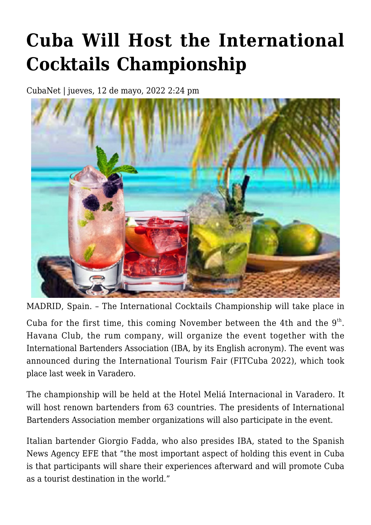## **[Cuba Will Host the International](https://www.cubanet.org/english/cuba-will-host-the-international-cocktails-championship/) [Cocktails Championship](https://www.cubanet.org/english/cuba-will-host-the-international-cocktails-championship/)**

CubaNet | jueves, 12 de mayo, 2022 2:24 pm



MADRID, Spain. – The International Cocktails Championship will take place in

Cuba for the first time, this coming November between the 4th and the  $9<sup>th</sup>$ . Havana Club, the rum company, will organize the event together with the International Bartenders Association (IBA, by its English acronym). The event was announced during the International Tourism Fair (FITCuba 2022), which took place last week in Varadero.

The championship will be held at the Hotel Meliá Internacional in Varadero. It will host renown bartenders from 63 countries. The presidents of International Bartenders Association member organizations will also participate in the event.

Italian bartender Giorgio Fadda, who also presides IBA, stated to the Spanish News Agency EFE that "the most important aspect of holding this event in Cuba is that participants will share their experiences afterward and will promote Cuba as a tourist destination in the world."